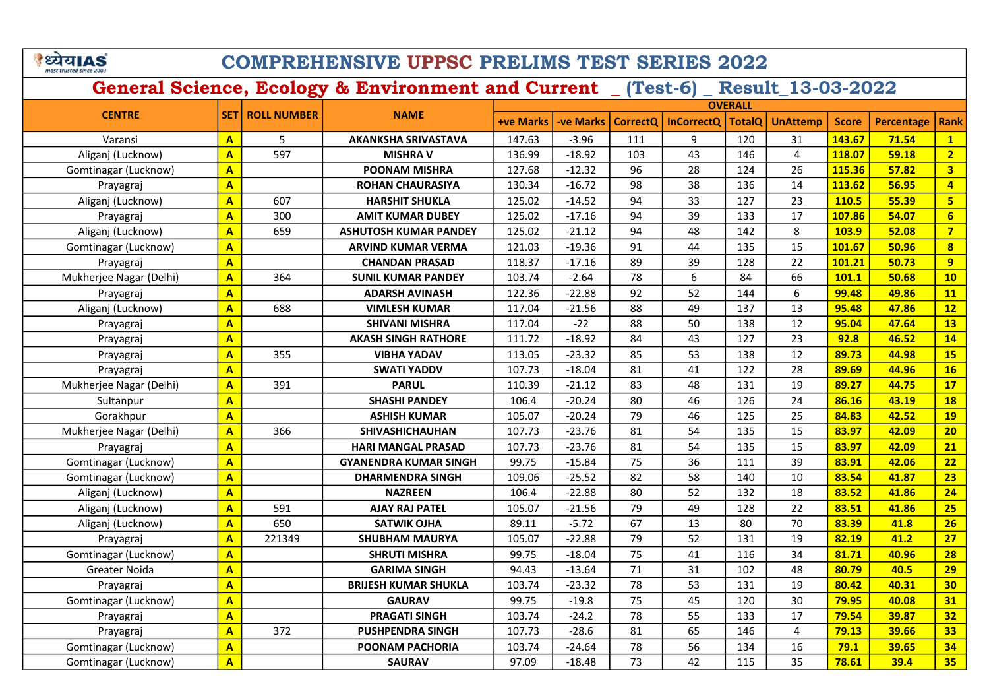# COMPREHENSIVE UPPSC PRELIMS TEST SERIES 2022

|                         |                         |                        |                              | <b>OVERALL</b>   |                  |          |                   |               |                 |              |                   |                         |
|-------------------------|-------------------------|------------------------|------------------------------|------------------|------------------|----------|-------------------|---------------|-----------------|--------------|-------------------|-------------------------|
| <b>CENTRE</b>           |                         | <b>SET ROLL NUMBER</b> | <b>NAME</b>                  | <b>+ve Marks</b> | <b>-ve Marks</b> | CorrectQ | <b>InCorrectQ</b> | <b>TotalQ</b> | <b>UnAttemp</b> | <b>Score</b> | <b>Percentage</b> | Rank                    |
| Varansi                 | $\mathbf{A}$            | 5                      | <b>AKANKSHA SRIVASTAVA</b>   | 147.63           | $-3.96$          | 111      | 9                 | 120           | 31              | 143.67       | 71.54             | $\mathbf{1}$            |
| Aliganj (Lucknow)       | $\mathbf{A}$            | 597                    | <b>MISHRA V</b>              | 136.99           | $-18.92$         | 103      | 43                | 146           | $\overline{4}$  | 118.07       | 59.18             | $\overline{2}$          |
| Gomtinagar (Lucknow)    | $\overline{A}$          |                        | <b>POONAM MISHRA</b>         | 127.68           | $-12.32$         | 96       | 28                | 124           | 26              | 115.36       | 57.82             | $\overline{\mathbf{3}}$ |
| Prayagraj               | $\mathbf{A}$            |                        | <b>ROHAN CHAURASIYA</b>      | 130.34           | $-16.72$         | 98       | 38                | 136           | 14              | 113.62       | 56.95             | $\overline{\mathbf{4}}$ |
| Aliganj (Lucknow)       | $\mathbf{A}$            | 607                    | <b>HARSHIT SHUKLA</b>        | 125.02           | $-14.52$         | 94       | 33                | 127           | 23              | 110.5        | 55.39             | 5 <sup>2</sup>          |
| Prayagraj               | $\mathbf{A}$            | 300                    | <b>AMIT KUMAR DUBEY</b>      | 125.02           | $-17.16$         | 94       | 39                | 133           | 17              | 107.86       | 54.07             | $6\overline{6}$         |
| Aliganj (Lucknow)       | $\mathbf{A}$            | 659                    | <b>ASHUTOSH KUMAR PANDEY</b> | 125.02           | $-21.12$         | 94       | 48                | 142           | 8               | 103.9        | 52.08             | $\overline{7}$          |
| Gomtinagar (Lucknow)    | $\mathbf{A}$            |                        | <b>ARVIND KUMAR VERMA</b>    | 121.03           | $-19.36$         | 91       | 44                | 135           | 15              | 101.67       | 50.96             | $\boldsymbol{8}$        |
| Prayagraj               | $\mathbf{A}$            |                        | <b>CHANDAN PRASAD</b>        | 118.37           | $-17.16$         | 89       | 39                | 128           | 22              | 101.21       | 50.73             | 9                       |
| Mukherjee Nagar (Delhi) | $\mathbf{A}$            | 364                    | <b>SUNIL KUMAR PANDEY</b>    | 103.74           | $-2.64$          | 78       | 6                 | 84            | 66              | 101.1        | 50.68             | 10                      |
| Prayagraj               | $\mathbf{A}$            |                        | <b>ADARSH AVINASH</b>        | 122.36           | $-22.88$         | 92       | 52                | 144           | 6               | 99.48        | 49.86             | 11                      |
| Aliganj (Lucknow)       | $\overline{A}$          | 688                    | <b>VIMLESH KUMAR</b>         | 117.04           | $-21.56$         | 88       | 49                | 137           | 13              | 95.48        | 47.86             | 12                      |
| Prayagraj               | $\mathbf{A}$            |                        | <b>SHIVANI MISHRA</b>        | 117.04           | $-22$            | 88       | 50                | 138           | 12              | 95.04        | 47.64             | <b>13</b>               |
| Prayagraj               | $\overline{A}$          |                        | <b>AKASH SINGH RATHORE</b>   | 111.72           | $-18.92$         | 84       | 43                | 127           | 23              | 92.8         | 46.52             | 14                      |
| Prayagraj               | $\overline{\mathbf{A}}$ | 355                    | <b>VIBHA YADAV</b>           | 113.05           | $-23.32$         | 85       | 53                | 138           | 12              | 89.73        | 44.98             | 15                      |
| Prayagraj               | $\mathbf{A}$            |                        | <b>SWATI YADDV</b>           | 107.73           | $-18.04$         | 81       | 41                | 122           | 28              | 89.69        | 44.96             | 16                      |
| Mukherjee Nagar (Delhi) | $\overline{A}$          | 391                    | <b>PARUL</b>                 | 110.39           | $-21.12$         | 83       | 48                | 131           | 19              | 89.27        | 44.75             | 17                      |
| Sultanpur               | $\overline{\mathbf{A}}$ |                        | <b>SHASHI PANDEY</b>         | 106.4            | $-20.24$         | 80       | 46                | 126           | 24              | 86.16        | 43.19             | 18                      |
| Gorakhpur               | $\mathbf{A}$            |                        | <b>ASHISH KUMAR</b>          | 105.07           | $-20.24$         | 79       | 46                | 125           | 25              | 84.83        | 42.52             | <b>19</b>               |
| Mukherjee Nagar (Delhi) | $\overline{A}$          | 366                    | <b>SHIVASHICHAUHAN</b>       | 107.73           | $-23.76$         | 81       | 54                | 135           | 15              | 83.97        | 42.09             | 20                      |
| Prayagraj               | $\overline{A}$          |                        | <b>HARI MANGAL PRASAD</b>    | 107.73           | $-23.76$         | 81       | 54                | 135           | 15              | 83.97        | 42.09             | 21                      |
| Gomtinagar (Lucknow)    | $\overline{A}$          |                        | <b>GYANENDRA KUMAR SINGH</b> | 99.75            | $-15.84$         | 75       | 36                | 111           | 39              | 83.91        | 42.06             | 22                      |
| Gomtinagar (Lucknow)    | $\mathbf{A}$            |                        | <b>DHARMENDRA SINGH</b>      | 109.06           | $-25.52$         | 82       | 58                | 140           | 10              | 83.54        | 41.87             | 23                      |
| Aliganj (Lucknow)       | $\overline{\mathbf{A}}$ |                        | <b>NAZREEN</b>               | 106.4            | $-22.88$         | 80       | 52                | 132           | 18              | 83.52        | 41.86             | 24                      |
| Aliganj (Lucknow)       | $\overline{A}$          | 591                    | <b>AJAY RAJ PATEL</b>        | 105.07           | $-21.56$         | 79       | 49                | 128           | 22              | 83.51        | 41.86             | 25                      |
| Aliganj (Lucknow)       | $\overline{\mathbf{A}}$ | 650                    | <b>SATWIK OJHA</b>           | 89.11            | $-5.72$          | 67       | 13                | 80            | 70              | 83.39        | 41.8              | 26                      |
| Prayagraj               | $\overline{\mathbf{A}}$ | 221349                 | <b>SHUBHAM MAURYA</b>        | 105.07           | $-22.88$         | 79       | 52                | 131           | 19              | 82.19        | 41.2              | 27                      |
| Gomtinagar (Lucknow)    | $\overline{\mathbf{A}}$ |                        | <b>SHRUTI MISHRA</b>         | 99.75            | $-18.04$         | 75       | 41                | 116           | 34              | 81.71        | 40.96             | <b>28</b>               |
| Greater Noida           | $\overline{\mathbf{A}}$ |                        | <b>GARIMA SINGH</b>          | 94.43            | $-13.64$         | 71       | 31                | 102           | 48              | 80.79        | 40.5              | 29                      |
| Prayagraj               | $\mathbf{A}$            |                        | <b>BRIJESH KUMAR SHUKLA</b>  | 103.74           | $-23.32$         | 78       | 53                | 131           | 19              | 80.42        | 40.31             | 30                      |
| Gomtinagar (Lucknow)    | $\overline{\mathbf{A}}$ |                        | <b>GAURAV</b>                | 99.75            | $-19.8$          | 75       | 45                | 120           | 30              | 79.95        | 40.08             | 31                      |
| Prayagraj               | $\mathbf{A}$            |                        | <b>PRAGATI SINGH</b>         | 103.74           | $-24.2$          | 78       | 55                | 133           | 17              | 79.54        | 39.87             | 32                      |
| Prayagraj               | $\overline{\mathbf{A}}$ | 372                    | <b>PUSHPENDRA SINGH</b>      | 107.73           | $-28.6$          | 81       | 65                | 146           | $\overline{4}$  | 79.13        | 39.66             | 33                      |
| Gomtinagar (Lucknow)    | $\mathbf{A}$            |                        | POONAM PACHORIA              | 103.74           | $-24.64$         | 78       | 56                | 134           | 16              | 79.1         | 39.65             | 34                      |
| Gomtinagar (Lucknow)    | $\overline{\mathsf{A}}$ |                        | <b>SAURAV</b>                | 97.09            | $-18.48$         | 73       | 42                | 115           | 35              | 78.61        | 39.4              | 35                      |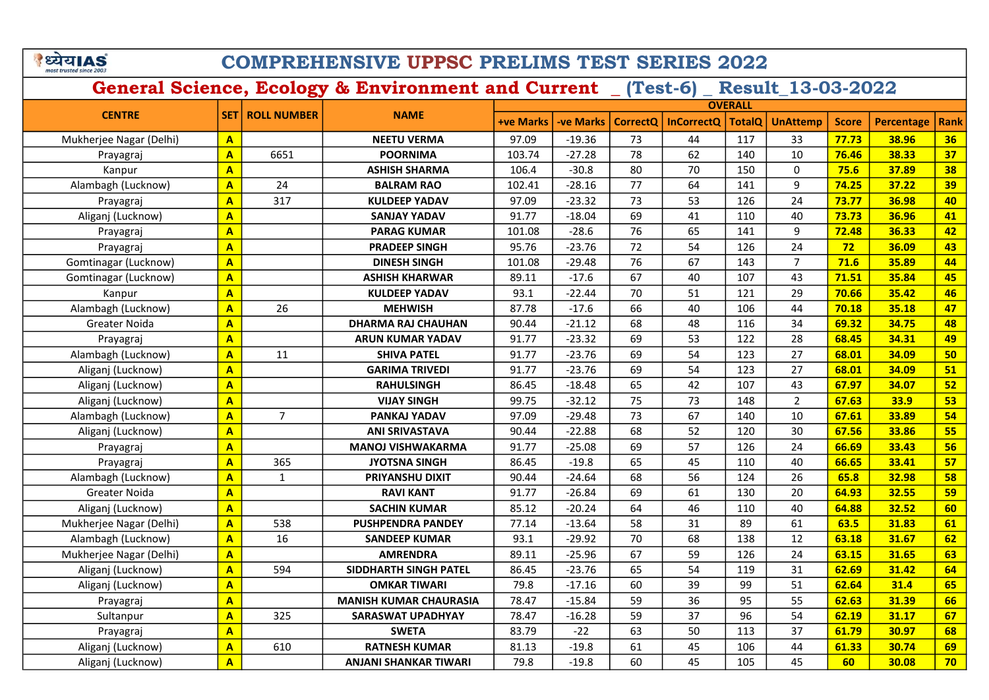# COMPREHENSIVE UPPSC PRELIMS TEST SERIES 2022

|                         |                         |                        | <b>NAME</b>                   | <b>OVERALL</b>   |                  |                 |                   |               |                 |              |                   |             |
|-------------------------|-------------------------|------------------------|-------------------------------|------------------|------------------|-----------------|-------------------|---------------|-----------------|--------------|-------------------|-------------|
| <b>CENTRE</b>           |                         | <b>SET ROLL NUMBER</b> |                               | <b>+ve Marks</b> | <b>-ve Marks</b> | <b>CorrectQ</b> | <b>InCorrectQ</b> | <b>TotalQ</b> | <b>UnAttemp</b> | <b>Score</b> | <b>Percentage</b> | <b>Rank</b> |
| Mukherjee Nagar (Delhi) | $\mathbf{A}$            |                        | <b>NEETU VERMA</b>            | 97.09            | $-19.36$         | 73              | 44                | 117           | 33              | 77.73        | 38.96             | 36          |
| Prayagraj               | $\overline{\mathbf{A}}$ | 6651                   | <b>POORNIMA</b>               | 103.74           | $-27.28$         | 78              | 62                | 140           | 10              | 76.46        | 38.33             | 37          |
| Kanpur                  | $\overline{A}$          |                        | <b>ASHISH SHARMA</b>          | 106.4            | $-30.8$          | 80              | 70                | 150           | $\mathbf{0}$    | 75.6         | 37.89             | 38          |
| Alambagh (Lucknow)      | $\mathbf{A}$            | 24                     | <b>BALRAM RAO</b>             | 102.41           | $-28.16$         | 77              | 64                | 141           | $\overline{9}$  | 74.25        | 37.22             | 39          |
| Prayagraj               | $\overline{\mathsf{A}}$ | 317                    | <b>KULDEEP YADAV</b>          | 97.09            | $-23.32$         | 73              | 53                | 126           | 24              | 73.77        | 36.98             | 40          |
| Aliganj (Lucknow)       | $\mathbf{A}$            |                        | <b>SANJAY YADAV</b>           | 91.77            | $-18.04$         | 69              | 41                | 110           | 40              | 73.73        | 36.96             | 41          |
| Prayagraj               | $\overline{\mathsf{A}}$ |                        | <b>PARAG KUMAR</b>            | 101.08           | $-28.6$          | 76              | 65                | 141           | 9               | 72.48        | 36.33             | 42          |
| Prayagraj               | $\overline{\mathsf{A}}$ |                        | <b>PRADEEP SINGH</b>          | 95.76            | $-23.76$         | 72              | 54                | 126           | 24              | 72           | 36.09             | 43          |
| Gomtinagar (Lucknow)    | $\overline{\mathbf{A}}$ |                        | <b>DINESH SINGH</b>           | 101.08           | $-29.48$         | 76              | 67                | 143           | $\overline{7}$  | 71.6         | 35.89             | 44          |
| Gomtinagar (Lucknow)    | $\overline{\mathbf{A}}$ |                        | <b>ASHISH KHARWAR</b>         | 89.11            | $-17.6$          | 67              | 40                | 107           | 43              | 71.51        | 35.84             | 45          |
| Kanpur                  | $\mathbf{A}$            |                        | <b>KULDEEP YADAV</b>          | 93.1             | $-22.44$         | 70              | 51                | 121           | 29              | 70.66        | 35.42             | 46          |
| Alambagh (Lucknow)      | $\overline{\mathbf{A}}$ | 26                     | <b>MEHWISH</b>                | 87.78            | $-17.6$          | 66              | 40                | 106           | 44              | 70.18        | 35.18             | 47          |
| Greater Noida           | $\overline{\mathbf{A}}$ |                        | <b>DHARMA RAJ CHAUHAN</b>     | 90.44            | $-21.12$         | 68              | 48                | 116           | 34              | 69.32        | 34.75             | 48          |
| Prayagraj               | $\overline{\mathbf{A}}$ |                        | <b>ARUN KUMAR YADAV</b>       | 91.77            | $-23.32$         | 69              | 53                | 122           | 28              | 68.45        | 34.31             | 49          |
| Alambagh (Lucknow)      | $\overline{\mathbf{A}}$ | 11                     | <b>SHIVA PATEL</b>            | 91.77            | $-23.76$         | 69              | 54                | 123           | 27              | 68.01        | 34.09             | 50          |
| Aliganj (Lucknow)       | $\overline{\mathbf{A}}$ |                        | <b>GARIMA TRIVEDI</b>         | 91.77            | $-23.76$         | 69              | 54                | 123           | 27              | 68.01        | 34.09             | 51          |
| Aliganj (Lucknow)       | $\overline{A}$          |                        | <b>RAHULSINGH</b>             | 86.45            | $-18.48$         | 65              | 42                | 107           | 43              | 67.97        | 34.07             | 52          |
| Aliganj (Lucknow)       | $\overline{\mathbf{A}}$ |                        | <b>VIJAY SINGH</b>            | 99.75            | $-32.12$         | 75              | 73                | 148           | $\overline{2}$  | 67.63        | 33.9              | 53          |
| Alambagh (Lucknow)      | $\overline{\mathsf{A}}$ | $\overline{7}$         | PANKAJ YADAV                  | 97.09            | $-29.48$         | 73              | 67                | 140           | 10              | 67.61        | 33.89             | 54          |
| Aliganj (Lucknow)       | $\overline{\mathbf{A}}$ |                        | <b>ANI SRIVASTAVA</b>         | 90.44            | $-22.88$         | 68              | 52                | 120           | 30              | 67.56        | 33.86             | 55          |
| Prayagraj               | $\overline{\mathbf{A}}$ |                        | <b>MANOJ VISHWAKARMA</b>      | 91.77            | $-25.08$         | 69              | 57                | 126           | 24              | 66.69        | 33.43             | 56          |
| Prayagraj               | $\overline{A}$          | 365                    | <b>JYOTSNA SINGH</b>          | 86.45            | $-19.8$          | 65              | 45                | 110           | 40              | 66.65        | 33.41             | 57          |
| Alambagh (Lucknow)      | $\overline{\mathbf{A}}$ | $\mathbf{1}$           | PRIYANSHU DIXIT               | 90.44            | $-24.64$         | 68              | 56                | 124           | 26              | 65.8         | 32.98             | 58          |
| Greater Noida           | $\overline{\mathbf{A}}$ |                        | <b>RAVI KANT</b>              | 91.77            | $-26.84$         | 69              | 61                | 130           | 20              | 64.93        | 32.55             | 59          |
| Aliganj (Lucknow)       | $\overline{\mathbf{A}}$ |                        | <b>SACHIN KUMAR</b>           | 85.12            | $-20.24$         | 64              | 46                | 110           | 40              | 64.88        | 32.52             | 60          |
| Mukherjee Nagar (Delhi) | $\overline{\mathsf{A}}$ | 538                    | <b>PUSHPENDRA PANDEY</b>      | 77.14            | $-13.64$         | 58              | 31                | 89            | 61              | 63.5         | 31.83             | 61          |
| Alambagh (Lucknow)      | A                       | 16                     | <b>SANDEEP KUMAR</b>          | 93.1             | $-29.92$         | 70              | 68                | 138           | 12              | 63.18        | 31.67             | 62          |
| Mukherjee Nagar (Delhi) | $\mathbf{A}$            |                        | <b>AMRENDRA</b>               | 89.11            | $-25.96$         | 67              | 59                | 126           | 24              | 63.15        | 31.65             | 63          |
| Aliganj (Lucknow)       | $\overline{A}$          | 594                    | <b>SIDDHARTH SINGH PATEL</b>  | 86.45            | $-23.76$         | 65              | 54                | 119           | 31              | 62.69        | 31.42             | 64          |
| Aliganj (Lucknow)       | $\overline{\mathsf{A}}$ |                        | <b>OMKAR TIWARI</b>           | 79.8             | $-17.16$         | 60              | 39                | 99            | 51              | 62.64        | 31.4              | 65          |
| Prayagraj               | $\overline{\mathbf{A}}$ |                        | <b>MANISH KUMAR CHAURASIA</b> | 78.47            | $-15.84$         | 59              | 36                | 95            | 55              | 62.63        | 31.39             | 66          |
| Sultanpur               | $\overline{\mathsf{A}}$ | 325                    | <b>SARASWAT UPADHYAY</b>      | 78.47            | $-16.28$         | 59              | 37                | 96            | 54              | 62.19        | 31.17             | 67          |
| Prayagraj               | $\overline{\mathsf{A}}$ |                        | <b>SWETA</b>                  | 83.79            | $-22$            | 63              | 50                | 113           | 37              | 61.79        | 30.97             | 68          |
| Aliganj (Lucknow)       | $\mathbf{A}$            | 610                    | <b>RATNESH KUMAR</b>          | 81.13            | $-19.8$          | 61              | 45                | 106           | 44              | 61.33        | 30.74             | 69          |
| Aliganj (Lucknow)       | $\overline{\mathsf{A}}$ |                        | <b>ANJANI SHANKAR TIWARI</b>  | 79.8             | $-19.8$          | 60              | 45                | 105           | 45              | 60           | 30.08             | 70          |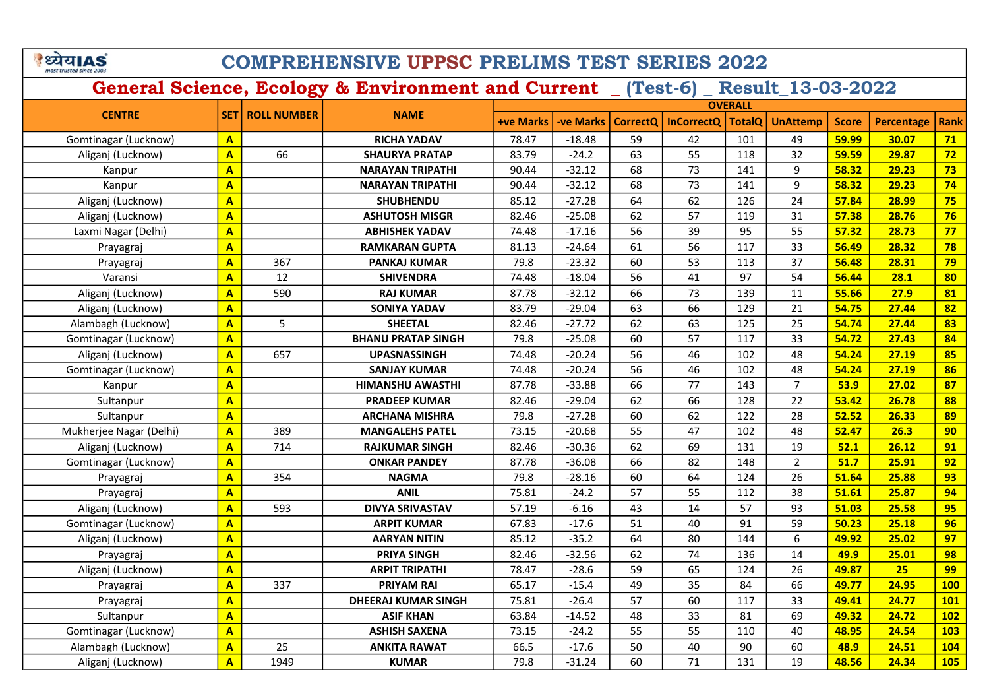## COMPREHENSIVE UPPSC PRELIMS TEST SERIES 2022

|                         |                         |                          |                            | <b>OVERALL</b>   |                  |          |                   |               |                  |              |                   |            |
|-------------------------|-------------------------|--------------------------|----------------------------|------------------|------------------|----------|-------------------|---------------|------------------|--------------|-------------------|------------|
| <b>CENTRE</b>           |                         | <b>SET   ROLL NUMBER</b> | <b>NAME</b>                | <b>+ve Marks</b> | <b>-ve Marks</b> | CorrectO | <b>InCorrectQ</b> | <b>TotalQ</b> | <b>UnAttemp</b>  | <b>Score</b> | <b>Percentage</b> | Rank       |
| Gomtinagar (Lucknow)    | $\mathbf{A}$            |                          | <b>RICHA YADAV</b>         | 78.47            | $-18.48$         | 59       | 42                | 101           | 49               | 59.99        | 30.07             | 71         |
| Aliganj (Lucknow)       | $\mathbf{A}$            | 66                       | <b>SHAURYA PRATAP</b>      | 83.79            | $-24.2$          | 63       | 55                | 118           | 32               | 59.59        | 29.87             | 72         |
| Kanpur                  | $\mathbf{A}$            |                          | <b>NARAYAN TRIPATHI</b>    | 90.44            | $-32.12$         | 68       | 73                | 141           | 9                | 58.32        | 29.23             | 73         |
| Kanpur                  | $\overline{\mathbf{A}}$ |                          | <b>NARAYAN TRIPATHI</b>    | 90.44            | $-32.12$         | 68       | 73                | 141           | $\boldsymbol{9}$ | 58.32        | 29.23             | 74         |
| Aliganj (Lucknow)       | $\overline{\mathbf{A}}$ |                          | <b>SHUBHENDU</b>           | 85.12            | $-27.28$         | 64       | 62                | 126           | 24               | 57.84        | 28.99             | 75         |
| Aliganj (Lucknow)       | $\mathbf{A}$            |                          | <b>ASHUTOSH MISGR</b>      | 82.46            | $-25.08$         | 62       | 57                | 119           | 31               | 57.38        | 28.76             | 76         |
| Laxmi Nagar (Delhi)     | $\mathbf{A}$            |                          | <b>ABHISHEK YADAV</b>      | 74.48            | $-17.16$         | 56       | 39                | 95            | 55               | 57.32        | 28.73             | 77         |
| Prayagraj               | $\mathbf{A}$            |                          | <b>RAMKARAN GUPTA</b>      | 81.13            | $-24.64$         | 61       | 56                | 117           | 33               | 56.49        | 28.32             | 78         |
| Prayagraj               | $\mathbf{A}$            | 367                      | <b>PANKAJ KUMAR</b>        | 79.8             | $-23.32$         | 60       | 53                | 113           | 37               | 56.48        | 28.31             | 79         |
| Varansi                 | $\mathbf{A}$            | 12                       | <b>SHIVENDRA</b>           | 74.48            | $-18.04$         | 56       | 41                | 97            | 54               | 56.44        | 28.1              | 80         |
| Aliganj (Lucknow)       | $\mathbf{A}$            | 590                      | <b>RAJ KUMAR</b>           | 87.78            | $-32.12$         | 66       | 73                | 139           | 11               | 55.66        | 27.9              | 81         |
| Aliganj (Lucknow)       | $\mathbf{A}$            |                          | <b>SONIYA YADAV</b>        | 83.79            | $-29.04$         | 63       | 66                | 129           | 21               | 54.75        | 27.44             | 82         |
| Alambagh (Lucknow)      | $\mathbf{A}$            | 5                        | <b>SHEETAL</b>             | 82.46            | $-27.72$         | 62       | 63                | 125           | 25               | 54.74        | 27.44             | 83         |
| Gomtinagar (Lucknow)    | $\mathbf{A}$            |                          | <b>BHANU PRATAP SINGH</b>  | 79.8             | $-25.08$         | 60       | 57                | 117           | 33               | 54.72        | 27.43             | 84         |
| Aliganj (Lucknow)       | $\mathbf{A}$            | 657                      | <b>UPASNASSINGH</b>        | 74.48            | $-20.24$         | 56       | 46                | 102           | 48               | 54.24        | 27.19             | 85         |
| Gomtinagar (Lucknow)    | $\overline{\mathbf{A}}$ |                          | <b>SANJAY KUMAR</b>        | 74.48            | $-20.24$         | 56       | 46                | 102           | 48               | 54.24        | 27.19             | 86         |
| Kanpur                  | $\mathbf{A}$            |                          | <b>HIMANSHU AWASTHI</b>    | 87.78            | $-33.88$         | 66       | 77                | 143           | $\overline{7}$   | 53.9         | 27.02             | 87         |
| Sultanpur               | $\overline{\mathbf{A}}$ |                          | <b>PRADEEP KUMAR</b>       | 82.46            | $-29.04$         | 62       | 66                | 128           | 22               | 53.42        | 26.78             | 88         |
| Sultanpur               | $\overline{\mathbf{A}}$ |                          | <b>ARCHANA MISHRA</b>      | 79.8             | $-27.28$         | 60       | 62                | 122           | 28               | 52.52        | 26.33             | 89         |
| Mukherjee Nagar (Delhi) | $\overline{\mathbf{A}}$ | 389                      | <b>MANGALEHS PATEL</b>     | 73.15            | $-20.68$         | 55       | 47                | 102           | 48               | 52.47        | 26.3              | 90         |
| Aliganj (Lucknow)       | $\overline{\mathbf{A}}$ | 714                      | <b>RAJKUMAR SINGH</b>      | 82.46            | $-30.36$         | 62       | 69                | 131           | 19               | 52.1         | 26.12             | 91         |
| Gomtinagar (Lucknow)    | $\overline{\mathbf{A}}$ |                          | <b>ONKAR PANDEY</b>        | 87.78            | $-36.08$         | 66       | 82                | 148           | $\overline{2}$   | 51.7         | 25.91             | 92         |
| Prayagraj               | $\overline{\mathbf{A}}$ | 354                      | <b>NAGMA</b>               | 79.8             | $-28.16$         | 60       | 64                | 124           | 26               | 51.64        | 25.88             | 93         |
| Prayagraj               | $\overline{\mathbf{A}}$ |                          | <b>ANIL</b>                | 75.81            | $-24.2$          | 57       | 55                | 112           | 38               | 51.61        | 25.87             | 94         |
| Aliganj (Lucknow)       | $\overline{\mathbf{A}}$ | 593                      | <b>DIVYA SRIVASTAV</b>     | 57.19            | $-6.16$          | 43       | 14                | 57            | 93               | 51.03        | 25.58             | 95         |
| Gomtinagar (Lucknow)    | $\mathbf{A}$            |                          | <b>ARPIT KUMAR</b>         | 67.83            | $-17.6$          | 51       | 40                | 91            | 59               | 50.23        | 25.18             | 96         |
| Aliganj (Lucknow)       | $\overline{\mathbf{A}}$ |                          | <b>AARYAN NITIN</b>        | 85.12            | $-35.2$          | 64       | 80                | 144           | 6                | 49.92        | 25.02             | 97         |
| Prayagraj               | $\overline{\mathbf{A}}$ |                          | PRIYA SINGH                | 82.46            | $-32.56$         | 62       | 74                | 136           | 14               | 49.9         | 25.01             | 98         |
| Aliganj (Lucknow)       | $\overline{\mathbf{A}}$ |                          | <b>ARPIT TRIPATHI</b>      | 78.47            | $-28.6$          | 59       | 65                | 124           | 26               | 49.87        | 25                | 99         |
| Prayagraj               | $\mathbf{A}$            | 337                      | <b>PRIYAM RAI</b>          | 65.17            | $-15.4$          | 49       | 35                | 84            | 66               | 49.77        | 24.95             | <b>100</b> |
| Prayagraj               | $\mathbf{A}$            |                          | <b>DHEERAJ KUMAR SINGH</b> | 75.81            | $-26.4$          | 57       | 60                | 117           | 33               | 49.41        | 24.77             | <b>101</b> |
| Sultanpur               | $\overline{\mathbf{A}}$ |                          | <b>ASIF KHAN</b>           | 63.84            | $-14.52$         | 48       | 33                | 81            | 69               | 49.32        | 24.72             | <b>102</b> |
| Gomtinagar (Lucknow)    | $\mathbf{A}$            |                          | <b>ASHISH SAXENA</b>       | 73.15            | $-24.2$          | 55       | 55                | 110           | 40               | 48.95        | 24.54             | <b>103</b> |
| Alambagh (Lucknow)      | $\mathbf{A}$            | 25                       | <b>ANKITA RAWAT</b>        | 66.5             | $-17.6$          | 50       | 40                | 90            | 60               | 48.9         | 24.51             | 104        |
| Aliganj (Lucknow)       | $\overline{A}$          | 1949                     | <b>KUMAR</b>               | 79.8             | $-31.24$         | 60       | 71                | 131           | 19               | 48.56        | 24.34             | <b>105</b> |
|                         |                         |                          |                            |                  |                  |          |                   |               |                  |              |                   |            |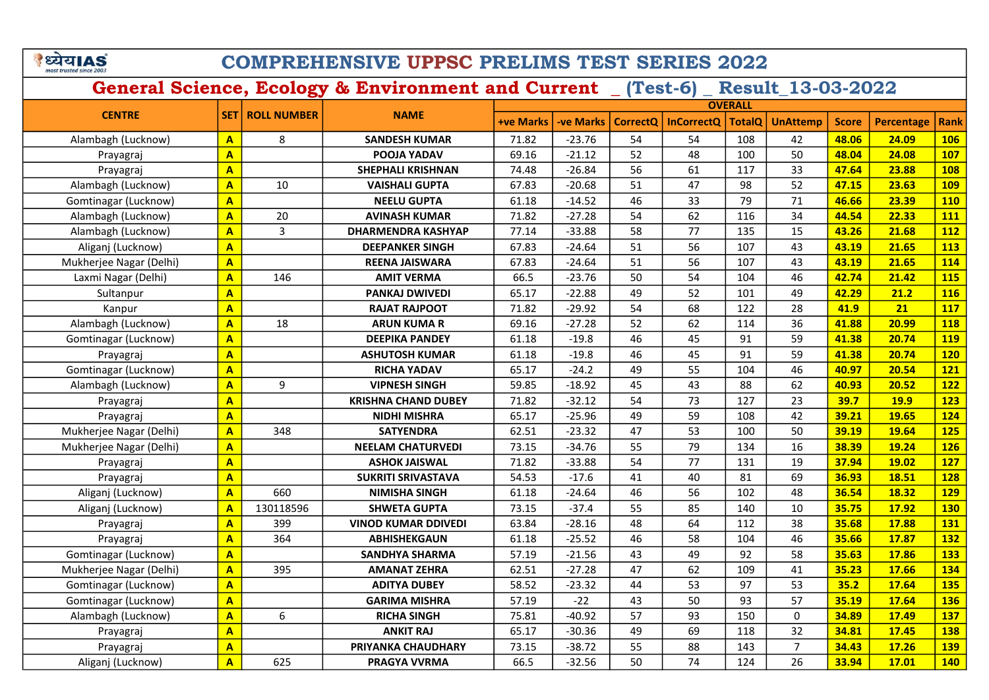## COMPREHENSIVE UPPSC PRELIMS TEST SERIES 2022

|                         |                         |                    |                            | <b>OVERALL</b>   |                  |          |                   |               |                 |              |                   |            |
|-------------------------|-------------------------|--------------------|----------------------------|------------------|------------------|----------|-------------------|---------------|-----------------|--------------|-------------------|------------|
| <b>CENTRE</b>           | <b>SET</b>              | <b>ROLL NUMBER</b> | <b>NAME</b>                | <b>+ve Marks</b> | <b>-ve Marks</b> | CorrectQ | <b>InCorrectQ</b> | <b>TotalQ</b> | <b>UnAttemp</b> | <b>Score</b> | <b>Percentage</b> | Rank       |
| Alambagh (Lucknow)      | $\overline{A}$          | 8                  | <b>SANDESH KUMAR</b>       | 71.82            | $-23.76$         | 54       | 54                | 108           | 42              | 48.06        | 24.09             | <b>106</b> |
| Prayagraj               | $\mathbf{A}$            |                    | POOJA YADAV                | 69.16            | $-21.12$         | 52       | 48                | 100           | 50              | 48.04        | 24.08             | <b>107</b> |
| Prayagraj               | $\overline{A}$          |                    | <b>SHEPHALI KRISHNAN</b>   | 74.48            | $-26.84$         | 56       | 61                | 117           | 33              | 47.64        | 23.88             | <b>108</b> |
| Alambagh (Lucknow)      | $\overline{\mathbf{A}}$ | 10                 | <b>VAISHALI GUPTA</b>      | 67.83            | $-20.68$         | 51       | 47                | 98            | 52              | 47.15        | 23.63             | <b>109</b> |
| Gomtinagar (Lucknow)    | $\mathbf{A}$            |                    | <b>NEELU GUPTA</b>         | 61.18            | $-14.52$         | 46       | 33                | 79            | 71              | 46.66        | 23.39             | <b>110</b> |
| Alambagh (Lucknow)      | $\overline{A}$          | 20                 | <b>AVINASH KUMAR</b>       | 71.82            | $-27.28$         | 54       | 62                | 116           | 34              | 44.54        | 22.33             | 111        |
| Alambagh (Lucknow)      | $\mathbf{A}$            | 3                  | <b>DHARMENDRA KASHYAP</b>  | 77.14            | $-33.88$         | 58       | 77                | 135           | 15              | 43.26        | 21.68             | <b>112</b> |
| Aliganj (Lucknow)       | $\overline{\mathbf{A}}$ |                    | <b>DEEPANKER SINGH</b>     | 67.83            | $-24.64$         | 51       | 56                | 107           | 43              | 43.19        | 21.65             | <b>113</b> |
| Mukherjee Nagar (Delhi) | $\overline{\mathbf{A}}$ |                    | <b>REENA JAISWARA</b>      | 67.83            | $-24.64$         | 51       | 56                | 107           | 43              | 43.19        | 21.65             | 114        |
| Laxmi Nagar (Delhi)     | $\overline{\mathbf{A}}$ | 146                | <b>AMIT VERMA</b>          | 66.5             | $-23.76$         | 50       | 54                | 104           | 46              | 42.74        | 21.42             | <b>115</b> |
| Sultanpur               | $\overline{A}$          |                    | <b>PANKAJ DWIVEDI</b>      | 65.17            | $-22.88$         | 49       | 52                | 101           | 49              | 42.29        | 21.2              | <b>116</b> |
| Kanpur                  | $\overline{A}$          |                    | <b>RAJAT RAJPOOT</b>       | 71.82            | $-29.92$         | 54       | 68                | 122           | 28              | 41.9         | 21                | 117        |
| Alambagh (Lucknow)      | $\overline{\mathbf{A}}$ | 18                 | <b>ARUN KUMA R</b>         | 69.16            | $-27.28$         | 52       | 62                | 114           | 36              | 41.88        | 20.99             | <b>118</b> |
| Gomtinagar (Lucknow)    | $\overline{\mathbf{A}}$ |                    | <b>DEEPIKA PANDEY</b>      | 61.18            | $-19.8$          | 46       | 45                | 91            | 59              | 41.38        | 20.74             | <b>119</b> |
| Prayagraj               | $\overline{A}$          |                    | <b>ASHUTOSH KUMAR</b>      | 61.18            | $-19.8$          | 46       | 45                | 91            | 59              | 41.38        | 20.74             | <b>120</b> |
| Gomtinagar (Lucknow)    | $\overline{\mathbf{A}}$ |                    | <b>RICHA YADAV</b>         | 65.17            | $-24.2$          | 49       | 55                | 104           | 46              | 40.97        | 20.54             | 121        |
| Alambagh (Lucknow)      | $\overline{A}$          | 9                  | <b>VIPNESH SINGH</b>       | 59.85            | $-18.92$         | 45       | 43                | 88            | 62              | 40.93        | 20.52             | <b>122</b> |
| Prayagraj               | $\overline{A}$          |                    | <b>KRISHNA CHAND DUBEY</b> | 71.82            | $-32.12$         | 54       | 73                | 127           | 23              | 39.7         | <b>19.9</b>       | <b>123</b> |
| Prayagraj               | $\overline{A}$          |                    | <b>NIDHI MISHRA</b>        | 65.17            | $-25.96$         | 49       | 59                | 108           | 42              | 39.21        | 19.65             | 124        |
| Mukherjee Nagar (Delhi) | $\mathbf{A}$            | 348                | <b>SATYENDRA</b>           | 62.51            | $-23.32$         | 47       | 53                | 100           | 50              | 39.19        | 19.64             | <b>125</b> |
| Mukherjee Nagar (Delhi) | $\overline{A}$          |                    | <b>NEELAM CHATURVEDI</b>   | 73.15            | $-34.76$         | 55       | 79                | 134           | 16              | 38.39        | 19.24             | <b>126</b> |
| Prayagraj               | $\overline{A}$          |                    | <b>ASHOK JAISWAL</b>       | 71.82            | $-33.88$         | 54       | 77                | 131           | 19              | 37.94        | 19.02             | <b>127</b> |
| Prayagraj               | $\overline{A}$          |                    | <b>SUKRITI SRIVASTAVA</b>  | 54.53            | $-17.6$          | 41       | 40                | 81            | 69              | 36.93        | 18.51             | <b>128</b> |
| Aliganj (Lucknow)       | $\overline{A}$          | 660                | <b>NIMISHA SINGH</b>       | 61.18            | $-24.64$         | 46       | 56                | 102           | 48              | 36.54        | 18.32             | <b>129</b> |
| Aliganj (Lucknow)       | $\overline{A}$          | 130118596          | <b>SHWETA GUPTA</b>        | 73.15            | $-37.4$          | 55       | 85                | 140           | 10              | 35.75        | 17.92             | <b>130</b> |
| Prayagraj               | $\overline{A}$          | 399                | <b>VINOD KUMAR DDIVEDI</b> | 63.84            | $-28.16$         | 48       | 64                | 112           | 38              | 35.68        | 17.88             | 131        |
| Prayagraj               | $\overline{A}$          | 364                | <b>ABHISHEKGAUN</b>        | 61.18            | $-25.52$         | 46       | 58                | 104           | 46              | 35.66        | 17.87             | 132        |
| Gomtinagar (Lucknow)    | $\mathbf{A}$            |                    | <b>SANDHYA SHARMA</b>      | 57.19            | $-21.56$         | 43       | 49                | 92            | 58              | 35.63        | 17.86             | <b>133</b> |
| Mukherjee Nagar (Delhi) | $\overline{\mathbf{A}}$ | 395                | <b>AMANAT ZEHRA</b>        | 62.51            | $-27.28$         | 47       | 62                | 109           | 41              | 35.23        | 17.66             | 134        |
| Gomtinagar (Lucknow)    | $\mathbf{A}$            |                    | <b>ADITYA DUBEY</b>        | 58.52            | $-23.32$         | 44       | 53                | 97            | 53              | 35.2         | 17.64             | <b>135</b> |
| Gomtinagar (Lucknow)    | $\mathbf{A}$            |                    | <b>GARIMA MISHRA</b>       | 57.19            | $-22$            | 43       | 50                | 93            | 57              | 35.19        | 17.64             | <b>136</b> |
| Alambagh (Lucknow)      | A                       | 6                  | <b>RICHA SINGH</b>         | 75.81            | $-40.92$         | 57       | 93                | 150           | $\mathbf 0$     | 34.89        | 17.49             | 137        |
| Prayagraj               | $\overline{\mathbf{A}}$ |                    | <b>ANKIT RAJ</b>           | 65.17            | $-30.36$         | 49       | 69                | 118           | 32              | 34.81        | 17.45             | <b>138</b> |
| Prayagraj               | $\overline{\mathsf{A}}$ |                    | PRIYANKA CHAUDHARY         | 73.15            | $-38.72$         | 55       | 88                | 143           | $\overline{7}$  | 34.43        | 17.26             | <b>139</b> |
| Aliganj (Lucknow)       | $\overline{\mathsf{A}}$ | 625                | <b>PRAGYA VVRMA</b>        | 66.5             | $-32.56$         | 50       | 74                | 124           | 26              | 33.94        | 17.01             | <b>140</b> |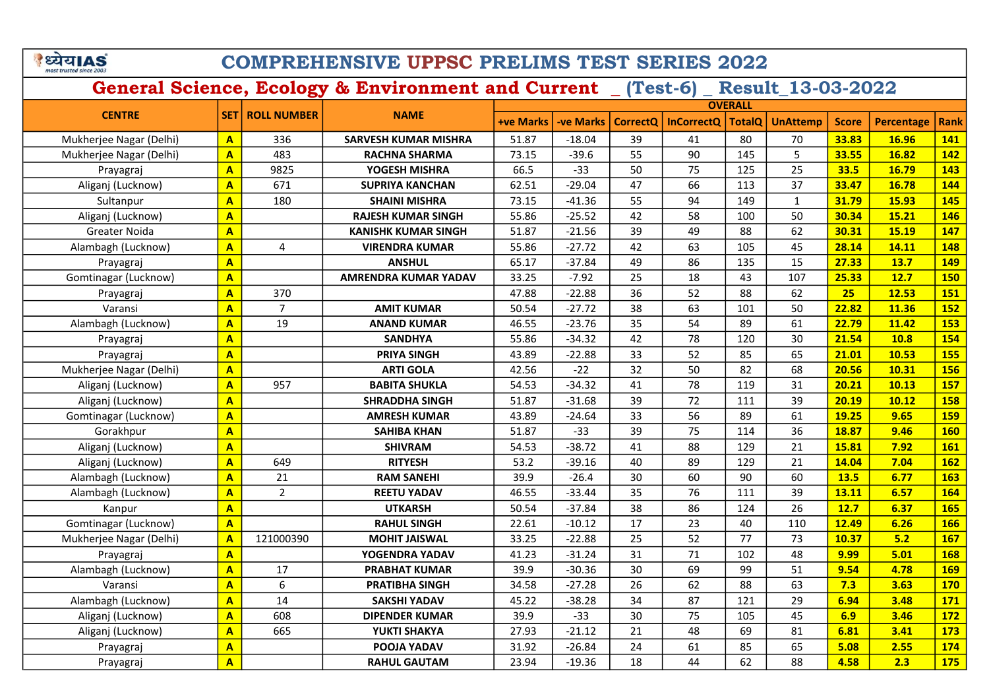## COMPREHENSIVE UPPSC PRELIMS TEST SERIES 2022

|                         |                         |                    |                             | <b>OVERALL</b>   |                  |          |                   |               |                 |              |                   |            |
|-------------------------|-------------------------|--------------------|-----------------------------|------------------|------------------|----------|-------------------|---------------|-----------------|--------------|-------------------|------------|
| <b>CENTRE</b>           | <b>SET</b>              | <b>ROLL NUMBER</b> | <b>NAME</b>                 | <b>+ve Marks</b> | <b>-ve Marks</b> | CorrectQ | <b>InCorrectQ</b> | <b>TotalQ</b> | <b>UnAttemp</b> | <b>Score</b> | <b>Percentage</b> | Rank       |
| Mukherjee Nagar (Delhi) | $\mathbf{A}$            | 336                | <b>SARVESH KUMAR MISHRA</b> | 51.87            | $-18.04$         | 39       | 41                | 80            | 70              | 33.83        | 16.96             | 141        |
| Mukherjee Nagar (Delhi) | $\mathbf{A}$            | 483                | <b>RACHNA SHARMA</b>        | 73.15            | $-39.6$          | 55       | 90                | 145           | 5               | 33.55        | 16.82             | 142        |
| Prayagraj               | $\overline{A}$          | 9825               | YOGESH MISHRA               | 66.5             | $-33$            | 50       | 75                | 125           | 25              | 33.5         | 16.79             | 143        |
| Aliganj (Lucknow)       | $\mathbf{A}$            | 671                | <b>SUPRIYA KANCHAN</b>      | 62.51            | $-29.04$         | 47       | 66                | 113           | 37              | 33.47        | 16.78             | 144        |
| Sultanpur               | $\mathbf{A}$            | 180                | <b>SHAINI MISHRA</b>        | 73.15            | $-41.36$         | 55       | 94                | 149           | $\mathbf{1}$    | 31.79        | 15.93             | 145        |
| Aliganj (Lucknow)       | $\overline{\mathbf{A}}$ |                    | <b>RAJESH KUMAR SINGH</b>   | 55.86            | $-25.52$         | 42       | 58                | 100           | 50              | 30.34        | 15.21             | 146        |
| Greater Noida           | $\mathbf{A}$            |                    | <b>KANISHK KUMAR SINGH</b>  | 51.87            | $-21.56$         | 39       | 49                | 88            | 62              | 30.31        | 15.19             | 147        |
| Alambagh (Lucknow)      | $\overline{A}$          | 4                  | <b>VIRENDRA KUMAR</b>       | 55.86            | $-27.72$         | 42       | 63                | 105           | 45              | 28.14        | 14.11             | 148        |
| Prayagraj               | $\overline{A}$          |                    | <b>ANSHUL</b>               | 65.17            | $-37.84$         | 49       | 86                | 135           | 15              | 27.33        | 13.7              | 149        |
| Gomtinagar (Lucknow)    | $\mathbf{A}$            |                    | <b>AMRENDRA KUMAR YADAV</b> | 33.25            | $-7.92$          | 25       | 18                | 43            | 107             | 25.33        | 12.7              | <b>150</b> |
| Prayagraj               | $\mathbf{A}$            | 370                |                             | 47.88            | $-22.88$         | 36       | 52                | 88            | 62              | 25           | 12.53             | 151        |
| Varansi                 | $\overline{A}$          | $\overline{7}$     | <b>AMIT KUMAR</b>           | 50.54            | $-27.72$         | 38       | 63                | 101           | 50              | 22.82        | 11.36             | <b>152</b> |
| Alambagh (Lucknow)      | $\overline{\mathbf{A}}$ | 19                 | <b>ANAND KUMAR</b>          | 46.55            | $-23.76$         | 35       | 54                | 89            | 61              | 22.79        | 11.42             | <b>153</b> |
| Prayagraj               | $\mathbf{A}$            |                    | <b>SANDHYA</b>              | 55.86            | $-34.32$         | 42       | 78                | 120           | 30              | 21.54        | 10.8              | 154        |
| Prayagraj               | $\mathbf{A}$            |                    | <b>PRIYA SINGH</b>          | 43.89            | $-22.88$         | 33       | 52                | 85            | 65              | 21.01        | 10.53             | <b>155</b> |
| Mukherjee Nagar (Delhi) | $\overline{\mathbf{A}}$ |                    | <b>ARTI GOLA</b>            | 42.56            | $-22$            | 32       | 50                | 82            | 68              | 20.56        | 10.31             | <b>156</b> |
| Aliganj (Lucknow)       | $\overline{A}$          | 957                | <b>BABITA SHUKLA</b>        | 54.53            | $-34.32$         | 41       | 78                | 119           | 31              | 20.21        | 10.13             | <b>157</b> |
| Aliganj (Lucknow)       | $\overline{\mathbf{A}}$ |                    | <b>SHRADDHA SINGH</b>       | 51.87            | $-31.68$         | 39       | 72                | 111           | 39              | 20.19        | 10.12             | <b>158</b> |
| Gomtinagar (Lucknow)    | $\overline{\mathbf{A}}$ |                    | <b>AMRESH KUMAR</b>         | 43.89            | $-24.64$         | 33       | 56                | 89            | 61              | 19.25        | 9.65              | <b>159</b> |
| Gorakhpur               | $\overline{\mathbf{A}}$ |                    | <b>SAHIBA KHAN</b>          | 51.87            | $-33$            | 39       | 75                | 114           | 36              | 18.87        | 9.46              | <b>160</b> |
| Aliganj (Lucknow)       | $\overline{\mathbf{A}}$ |                    | <b>SHIVRAM</b>              | 54.53            | $-38.72$         | 41       | 88                | 129           | 21              | 15.81        | 7.92              | 161        |
| Aliganj (Lucknow)       | $\overline{\mathbf{A}}$ | 649                | <b>RITYESH</b>              | 53.2             | $-39.16$         | 40       | 89                | 129           | 21              | 14.04        | 7.04              | <b>162</b> |
| Alambagh (Lucknow)      | $\overline{\mathbf{A}}$ | 21                 | <b>RAM SANEHI</b>           | 39.9             | $-26.4$          | 30       | 60                | 90            | 60              | 13.5         | 6.77              | 163        |
| Alambagh (Lucknow)      | $\overline{\mathbf{A}}$ | $\overline{2}$     | <b>REETU YADAV</b>          | 46.55            | $-33.44$         | 35       | 76                | 111           | 39              | 13.11        | 6.57              | 164        |
| Kanpur                  | $\overline{\mathbf{A}}$ |                    | <b>UTKARSH</b>              | 50.54            | $-37.84$         | 38       | 86                | 124           | 26              | 12.7         | 6.37              | <b>165</b> |
| Gomtinagar (Lucknow)    | $\overline{\mathbf{A}}$ |                    | <b>RAHUL SINGH</b>          | 22.61            | $-10.12$         | 17       | 23                | 40            | 110             | 12.49        | 6.26              | <b>166</b> |
| Mukherjee Nagar (Delhi) | $\overline{A}$          | 121000390          | <b>MOHIT JAISWAL</b>        | 33.25            | $-22.88$         | 25       | 52                | 77            | 73              | 10.37        | 5.2               | <b>167</b> |
| Prayagraj               | $\overline{\mathbf{A}}$ |                    | YOGENDRA YADAV              | 41.23            | $-31.24$         | 31       | 71                | 102           | 48              | 9.99         | 5.01              | <b>168</b> |
| Alambagh (Lucknow)      | $\mathbf{A}$            | 17                 | <b>PRABHAT KUMAR</b>        | 39.9             | $-30.36$         | 30       | 69                | 99            | 51              | 9.54         | 4.78              | <b>169</b> |
| Varansi                 | $\overline{A}$          | 6                  | <b>PRATIBHA SINGH</b>       | 34.58            | $-27.28$         | 26       | 62                | 88            | 63              | 7.3          | 3.63              | <b>170</b> |
| Alambagh (Lucknow)      | $\mathbf{A}$            | 14                 | <b>SAKSHI YADAV</b>         | 45.22            | $-38.28$         | 34       | 87                | 121           | 29              | 6.94         | 3.48              | 171        |
| Aliganj (Lucknow)       | $\overline{\mathbf{A}}$ | 608                | <b>DIPENDER KUMAR</b>       | 39.9             | $-33$            | 30       | 75                | 105           | 45              | 6.9          | 3.46              | <b>172</b> |
| Aliganj (Lucknow)       | $\mathbf{A}$            | 665                | YUKTI SHAKYA                | 27.93            | $-21.12$         | 21       | 48                | 69            | 81              | 6.81         | 3.41              | 173        |
| Prayagraj               | $\overline{\mathsf{A}}$ |                    | POOJA YADAV                 | 31.92            | $-26.84$         | 24       | 61                | 85            | 65              | 5.08         | 2.55              | 174        |
| Prayagraj               | $\overline{\mathsf{A}}$ |                    | <b>RAHUL GAUTAM</b>         | 23.94            | $-19.36$         | 18       | 44                | 62            | 88              | 4.58         | 2.3               | <b>175</b> |